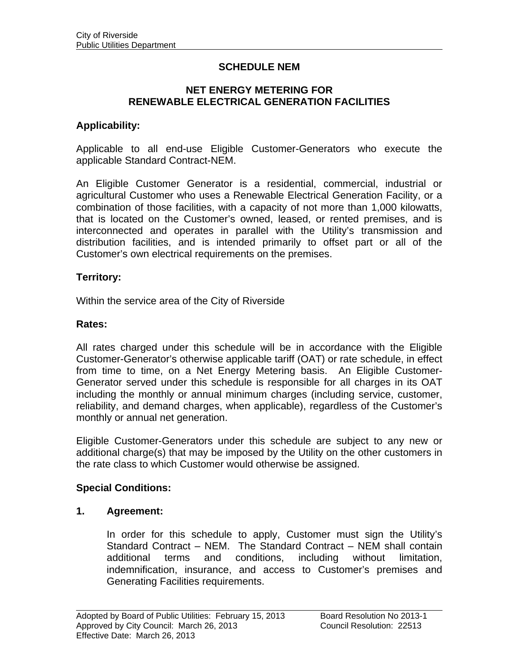# **SCHEDULE NEM**

#### **NET ENERGY METERING FOR RENEWABLE ELECTRICAL GENERATION FACILITIES**

### **Applicability:**

Applicable to all end-use Eligible Customer-Generators who execute the applicable Standard Contract-NEM.

An Eligible Customer Generator is a residential, commercial, industrial or agricultural Customer who uses a Renewable Electrical Generation Facility, or a combination of those facilities, with a capacity of not more than 1,000 kilowatts, that is located on the Customer's owned, leased, or rented premises, and is interconnected and operates in parallel with the Utility's transmission and distribution facilities, and is intended primarily to offset part or all of the Customer's own electrical requirements on the premises.

#### **Territory:**

Within the service area of the City of Riverside

#### **Rates:**

All rates charged under this schedule will be in accordance with the Eligible Customer-Generator's otherwise applicable tariff (OAT) or rate schedule, in effect from time to time, on a Net Energy Metering basis. An Eligible Customer-Generator served under this schedule is responsible for all charges in its OAT including the monthly or annual minimum charges (including service, customer, reliability, and demand charges, when applicable), regardless of the Customer's monthly or annual net generation.

Eligible Customer-Generators under this schedule are subject to any new or additional charge(s) that may be imposed by the Utility on the other customers in the rate class to which Customer would otherwise be assigned.

# **Special Conditions:**

#### **1. Agreement:**

In order for this schedule to apply, Customer must sign the Utility's Standard Contract – NEM. The Standard Contract – NEM shall contain additional terms and conditions, including without limitation, indemnification, insurance, and access to Customer's premises and Generating Facilities requirements.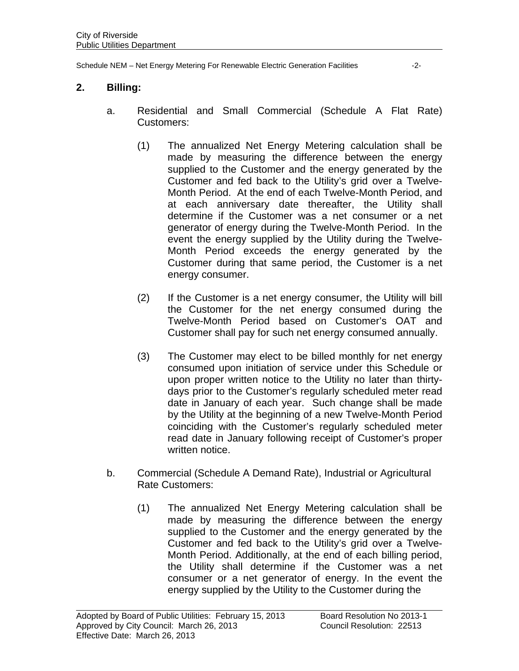Schedule NEM – Net Energy Metering For Renewable Electric Generation Facilities -2-

### **2. Billing:**

- a. Residential and Small Commercial (Schedule A Flat Rate) Customers:
	- (1) The annualized Net Energy Metering calculation shall be made by measuring the difference between the energy supplied to the Customer and the energy generated by the Customer and fed back to the Utility's grid over a Twelve-Month Period. At the end of each Twelve-Month Period, and at each anniversary date thereafter, the Utility shall determine if the Customer was a net consumer or a net generator of energy during the Twelve-Month Period. In the event the energy supplied by the Utility during the Twelve-Month Period exceeds the energy generated by the Customer during that same period, the Customer is a net energy consumer.
	- (2) If the Customer is a net energy consumer, the Utility will bill the Customer for the net energy consumed during the Twelve-Month Period based on Customer's OAT and Customer shall pay for such net energy consumed annually.
	- (3) The Customer may elect to be billed monthly for net energy consumed upon initiation of service under this Schedule or upon proper written notice to the Utility no later than thirtydays prior to the Customer's regularly scheduled meter read date in January of each year. Such change shall be made by the Utility at the beginning of a new Twelve-Month Period coinciding with the Customer's regularly scheduled meter read date in January following receipt of Customer's proper written notice.
- b. Commercial (Schedule A Demand Rate), Industrial or Agricultural Rate Customers:
	- (1) The annualized Net Energy Metering calculation shall be made by measuring the difference between the energy supplied to the Customer and the energy generated by the Customer and fed back to the Utility's grid over a Twelve-Month Period. Additionally, at the end of each billing period, the Utility shall determine if the Customer was a net consumer or a net generator of energy. In the event the energy supplied by the Utility to the Customer during the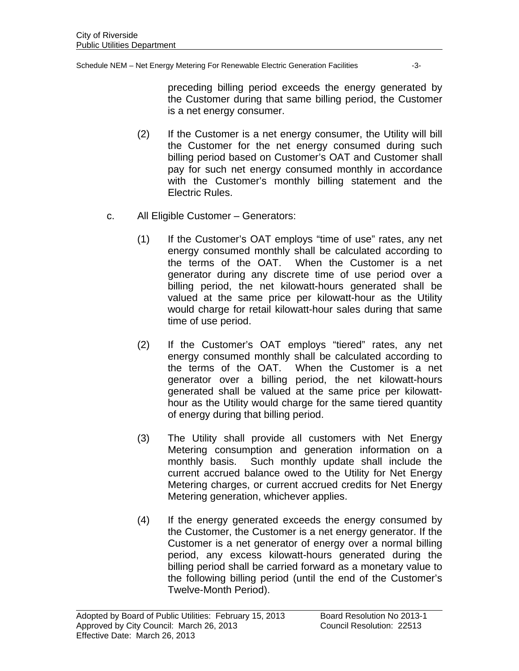Schedule NEM – Net Energy Metering For Renewable Electric Generation Facilities -3-

preceding billing period exceeds the energy generated by the Customer during that same billing period, the Customer is a net energy consumer.

- (2) If the Customer is a net energy consumer, the Utility will bill the Customer for the net energy consumed during such billing period based on Customer's OAT and Customer shall pay for such net energy consumed monthly in accordance with the Customer's monthly billing statement and the Electric Rules.
- c. All Eligible Customer Generators:
	- (1) If the Customer's OAT employs "time of use" rates, any net energy consumed monthly shall be calculated according to the terms of the OAT. When the Customer is a net generator during any discrete time of use period over a billing period, the net kilowatt-hours generated shall be valued at the same price per kilowatt-hour as the Utility would charge for retail kilowatt-hour sales during that same time of use period.
	- (2) If the Customer's OAT employs "tiered" rates, any net energy consumed monthly shall be calculated according to the terms of the OAT. When the Customer is a net generator over a billing period, the net kilowatt-hours generated shall be valued at the same price per kilowatthour as the Utility would charge for the same tiered quantity of energy during that billing period.
	- (3) The Utility shall provide all customers with Net Energy Metering consumption and generation information on a monthly basis. Such monthly update shall include the current accrued balance owed to the Utility for Net Energy Metering charges, or current accrued credits for Net Energy Metering generation, whichever applies.
	- (4) If the energy generated exceeds the energy consumed by the Customer, the Customer is a net energy generator. If the Customer is a net generator of energy over a normal billing period, any excess kilowatt-hours generated during the billing period shall be carried forward as a monetary value to the following billing period (until the end of the Customer's Twelve-Month Period).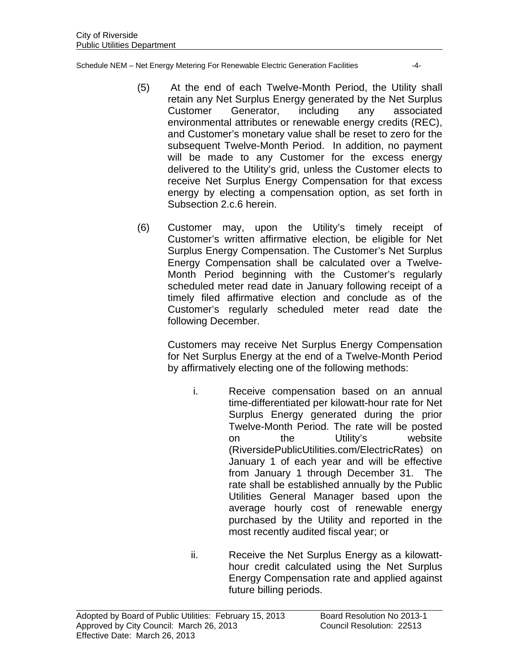Schedule NEM – Net Energy Metering For Renewable Electric Generation Facilities -4-

- (5) At the end of each Twelve-Month Period, the Utility shall retain any Net Surplus Energy generated by the Net Surplus Customer Generator, including any associated environmental attributes or renewable energy credits (REC), and Customer's monetary value shall be reset to zero for the subsequent Twelve-Month Period. In addition, no payment will be made to any Customer for the excess energy delivered to the Utility's grid, unless the Customer elects to receive Net Surplus Energy Compensation for that excess energy by electing a compensation option, as set forth in Subsection 2.c.6 herein.
- (6) Customer may, upon the Utility's timely receipt of Customer's written affirmative election, be eligible for Net Surplus Energy Compensation. The Customer's Net Surplus Energy Compensation shall be calculated over a Twelve-Month Period beginning with the Customer's regularly scheduled meter read date in January following receipt of a timely filed affirmative election and conclude as of the Customer's regularly scheduled meter read date the following December.

Customers may receive Net Surplus Energy Compensation for Net Surplus Energy at the end of a Twelve-Month Period by affirmatively electing one of the following methods:

- i. Receive compensation based on an annual time-differentiated per kilowatt-hour rate for Net Surplus Energy generated during the prior Twelve-Month Period. The rate will be posted on the Utility's website (RiversidePublicUtilities.com/ElectricRates) on January 1 of each year and will be effective from January 1 through December 31. The rate shall be established annually by the Public Utilities General Manager based upon the average hourly cost of renewable energy purchased by the Utility and reported in the most recently audited fiscal year; or
- ii. Receive the Net Surplus Energy as a kilowatthour credit calculated using the Net Surplus Energy Compensation rate and applied against future billing periods.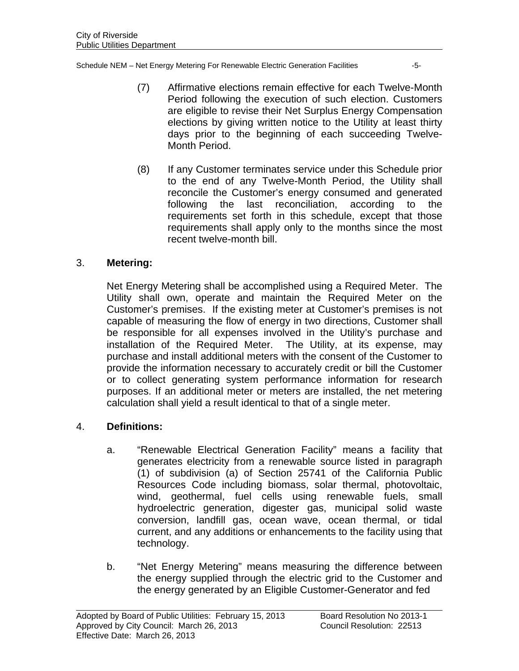Schedule NEM – Net Energy Metering For Renewable Electric Generation Facilities -5-

- (7) Affirmative elections remain effective for each Twelve-Month Period following the execution of such election. Customers are eligible to revise their Net Surplus Energy Compensation elections by giving written notice to the Utility at least thirty days prior to the beginning of each succeeding Twelve-Month Period.
- (8) If any Customer terminates service under this Schedule prior to the end of any Twelve-Month Period, the Utility shall reconcile the Customer's energy consumed and generated following the last reconciliation, according to the requirements set forth in this schedule, except that those requirements shall apply only to the months since the most recent twelve-month bill.

# 3. **Metering:**

Net Energy Metering shall be accomplished using a Required Meter. The Utility shall own, operate and maintain the Required Meter on the Customer's premises. If the existing meter at Customer's premises is not capable of measuring the flow of energy in two directions, Customer shall be responsible for all expenses involved in the Utility's purchase and installation of the Required Meter. The Utility, at its expense, may purchase and install additional meters with the consent of the Customer to provide the information necessary to accurately credit or bill the Customer or to collect generating system performance information for research purposes. If an additional meter or meters are installed, the net metering calculation shall yield a result identical to that of a single meter.

# 4. **Definitions:**

- a. "Renewable Electrical Generation Facility" means a facility that generates electricity from a renewable source listed in paragraph (1) of subdivision (a) of Section 25741 of the California Public Resources Code including biomass, solar thermal, photovoltaic, wind, geothermal, fuel cells using renewable fuels, small hydroelectric generation, digester gas, municipal solid waste conversion, landfill gas, ocean wave, ocean thermal, or tidal current, and any additions or enhancements to the facility using that technology.
- b. "Net Energy Metering" means measuring the difference between the energy supplied through the electric grid to the Customer and the energy generated by an Eligible Customer-Generator and fed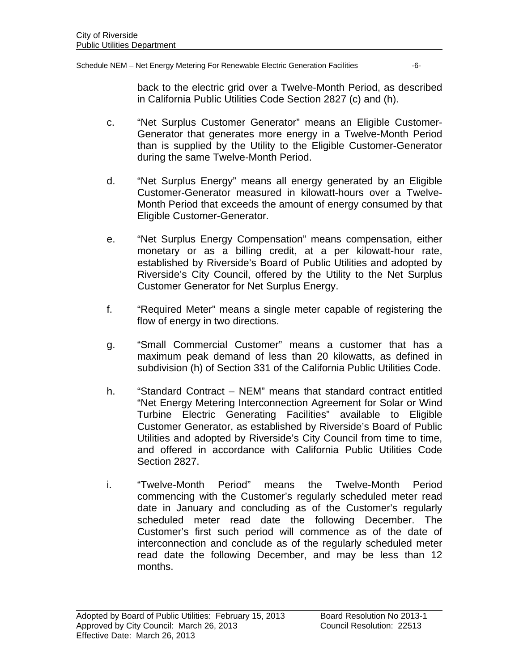Schedule NEM – Net Energy Metering For Renewable Electric Generation Facilities -6-

back to the electric grid over a Twelve-Month Period, as described in California Public Utilities Code Section 2827 (c) and (h).

- c. "Net Surplus Customer Generator" means an Eligible Customer-Generator that generates more energy in a Twelve-Month Period than is supplied by the Utility to the Eligible Customer-Generator during the same Twelve-Month Period.
- d. "Net Surplus Energy" means all energy generated by an Eligible Customer-Generator measured in kilowatt-hours over a Twelve-Month Period that exceeds the amount of energy consumed by that Eligible Customer-Generator.
- e. "Net Surplus Energy Compensation" means compensation, either monetary or as a billing credit, at a per kilowatt-hour rate, established by Riverside's Board of Public Utilities and adopted by Riverside's City Council, offered by the Utility to the Net Surplus Customer Generator for Net Surplus Energy.
- f. "Required Meter" means a single meter capable of registering the flow of energy in two directions.
- g. "Small Commercial Customer" means a customer that has a maximum peak demand of less than 20 kilowatts, as defined in subdivision (h) of Section 331 of the California Public Utilities Code.
- h. "Standard Contract NEM" means that standard contract entitled "Net Energy Metering Interconnection Agreement for Solar or Wind Turbine Electric Generating Facilities" available to Eligible Customer Generator, as established by Riverside's Board of Public Utilities and adopted by Riverside's City Council from time to time, and offered in accordance with California Public Utilities Code Section 2827.
- i. "Twelve-Month Period" means the Twelve-Month Period commencing with the Customer's regularly scheduled meter read date in January and concluding as of the Customer's regularly scheduled meter read date the following December. The Customer's first such period will commence as of the date of interconnection and conclude as of the regularly scheduled meter read date the following December, and may be less than 12 months.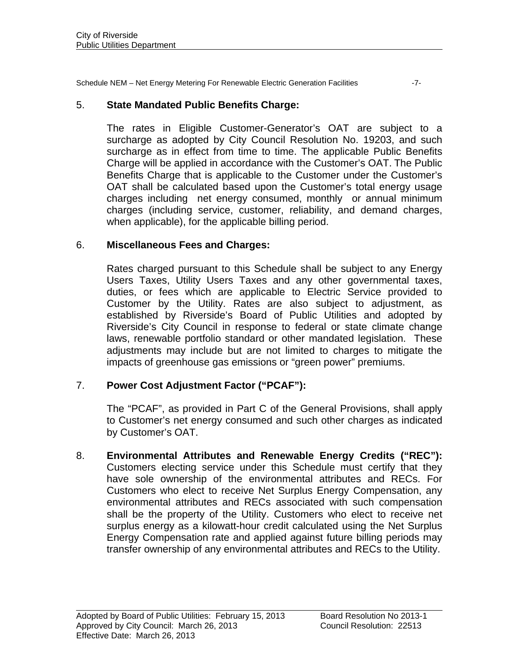Schedule NEM – Net Energy Metering For Renewable Electric Generation Facilities -7-

# 5. **State Mandated Public Benefits Charge:**

The rates in Eligible Customer-Generator's OAT are subject to a surcharge as adopted by City Council Resolution No. 19203, and such surcharge as in effect from time to time. The applicable Public Benefits Charge will be applied in accordance with the Customer's OAT. The Public Benefits Charge that is applicable to the Customer under the Customer's OAT shall be calculated based upon the Customer's total energy usage charges including net energy consumed, monthly or annual minimum charges (including service, customer, reliability, and demand charges, when applicable), for the applicable billing period.

# 6. **Miscellaneous Fees and Charges:**

 Rates charged pursuant to this Schedule shall be subject to any Energy Users Taxes, Utility Users Taxes and any other governmental taxes, duties, or fees which are applicable to Electric Service provided to Customer by the Utility. Rates are also subject to adjustment, as established by Riverside's Board of Public Utilities and adopted by Riverside's City Council in response to federal or state climate change laws, renewable portfolio standard or other mandated legislation. These adjustments may include but are not limited to charges to mitigate the impacts of greenhouse gas emissions or "green power" premiums.

# 7. **Power Cost Adjustment Factor ("PCAF"):**

The "PCAF", as provided in Part C of the General Provisions, shall apply to Customer's net energy consumed and such other charges as indicated by Customer's OAT.

8. **Environmental Attributes and Renewable Energy Credits ("REC"):**  Customers electing service under this Schedule must certify that they have sole ownership of the environmental attributes and RECs. For Customers who elect to receive Net Surplus Energy Compensation, any environmental attributes and RECs associated with such compensation shall be the property of the Utility. Customers who elect to receive net surplus energy as a kilowatt-hour credit calculated using the Net Surplus Energy Compensation rate and applied against future billing periods may transfer ownership of any environmental attributes and RECs to the Utility.